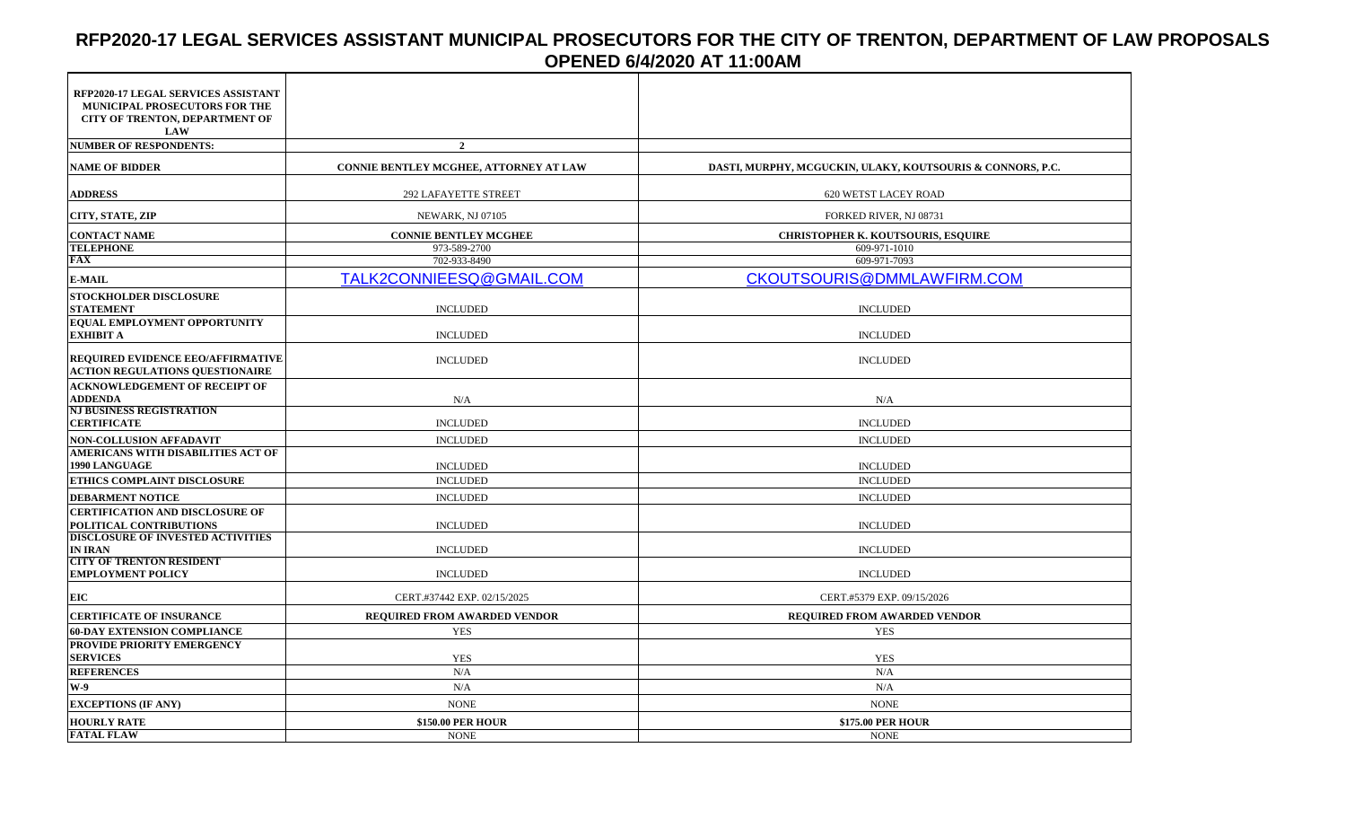# **RFP2020-17 LEGAL SERVICES ASSISTANT MUNICIPAL PROSECUTORS FOR THE CITY OF TRENTON, DEPARTMENT OF LAW PROPOSALS OPENED 6/4/2020 AT 11:00AM**

| RFP2020-17 LEGAL SERVICES ASSISTANT<br>MUNICIPAL PROSECUTORS FOR THE<br>CITY OF TRENTON, DEPARTMENT OF<br><b>LAW</b> |                                        |                                                            |
|----------------------------------------------------------------------------------------------------------------------|----------------------------------------|------------------------------------------------------------|
| <b>NUMBER OF RESPONDENTS:</b>                                                                                        | $\overline{2}$                         |                                                            |
| <b>NAME OF BIDDER</b>                                                                                                | CONNIE BENTLEY MCGHEE, ATTORNEY AT LAW | DASTI, MURPHY, MCGUCKIN, ULAKY, KOUTSOURIS & CONNORS, P.C. |
| <b>ADDRESS</b>                                                                                                       | <b>292 LAFAYETTE STREET</b>            | 620 WETST LACEY ROAD                                       |
| CITY, STATE, ZIP                                                                                                     | NEWARK, NJ 07105                       | FORKED RIVER, NJ 08731                                     |
| <b>CONTACT NAME</b>                                                                                                  | <b>CONNIE BENTLEY MCGHEE</b>           | <b>CHRISTOPHER K. KOUTSOURIS, ESQUIRE</b>                  |
| <b>TELEPHONE</b>                                                                                                     | 973-589-2700                           | 609-971-1010                                               |
| <b>FAX</b>                                                                                                           | 702-933-8490                           | 609-971-7093                                               |
| <b>E-MAIL</b>                                                                                                        | TALK2CONNIEESQ@GMAIL.COM               | <b>CKOUTSOURIS@DMMLAWFIRM.COM</b>                          |
| <b>STOCKHOLDER DISCLOSURE</b><br><b>STATEMENT</b>                                                                    | <b>INCLUDED</b>                        | <b>INCLUDED</b>                                            |
| EQUAL EMPLOYMENT OPPORTUNITY                                                                                         |                                        |                                                            |
| <b>EXHIBIT A</b>                                                                                                     | <b>INCLUDED</b>                        | <b>INCLUDED</b>                                            |
| REQUIRED EVIDENCE EEO/AFFIRMATIVE<br><b>ACTION REGULATIONS QUESTIONAIRE</b>                                          | <b>INCLUDED</b>                        | <b>INCLUDED</b>                                            |
| <b>ACKNOWLEDGEMENT OF RECEIPT OF</b>                                                                                 |                                        |                                                            |
| <b>ADDENDA</b>                                                                                                       | N/A                                    | N/A                                                        |
| <b>NJ BUSINESS REGISTRATION</b><br><b>CERTIFICATE</b>                                                                | <b>INCLUDED</b>                        | <b>INCLUDED</b>                                            |
| <b>NON-COLLUSION AFFADAVIT</b>                                                                                       | <b>INCLUDED</b>                        | <b>INCLUDED</b>                                            |
| AMERICANS WITH DISABILITIES ACT OF                                                                                   |                                        |                                                            |
| 1990 LANGUAGE                                                                                                        | <b>INCLUDED</b>                        | <b>INCLUDED</b>                                            |
| ETHICS COMPLAINT DISCLOSURE                                                                                          | <b>INCLUDED</b>                        | <b>INCLUDED</b>                                            |
| <b>DEBARMENT NOTICE</b>                                                                                              | <b>INCLUDED</b>                        | <b>INCLUDED</b>                                            |
| <b>CERTIFICATION AND DISCLOSURE OF</b>                                                                               |                                        |                                                            |
| POLITICAL CONTRIBUTIONS                                                                                              | <b>INCLUDED</b>                        | <b>INCLUDED</b>                                            |
| <b>DISCLOSURE OF INVESTED ACTIVITIES</b>                                                                             |                                        |                                                            |
| <b>IN IRAN</b>                                                                                                       | <b>INCLUDED</b>                        | <b>INCLUDED</b>                                            |
| <b>CITY OF TRENTON RESIDENT</b><br><b>EMPLOYMENT POLICY</b>                                                          | <b>INCLUDED</b>                        | <b>INCLUDED</b>                                            |
| EIC                                                                                                                  | CERT.#37442 EXP. 02/15/2025            | CERT.#5379 EXP. 09/15/2026                                 |
| <b>CERTIFICATE OF INSURANCE</b>                                                                                      | <b>REQUIRED FROM AWARDED VENDOR</b>    | <b>REQUIRED FROM AWARDED VENDOR</b>                        |
| <b>60-DAY EXTENSION COMPLIANCE</b>                                                                                   | <b>YES</b>                             | <b>YES</b>                                                 |
| PROVIDE PRIORITY EMERGENCY                                                                                           |                                        |                                                            |
| <b>SERVICES</b>                                                                                                      | <b>YES</b>                             | <b>YES</b>                                                 |
| <b>REFERENCES</b>                                                                                                    | N/A                                    | N/A                                                        |
| $W-9$                                                                                                                | N/A                                    | N/A                                                        |
| <b>EXCEPTIONS (IF ANY)</b>                                                                                           | <b>NONE</b>                            | <b>NONE</b>                                                |
| <b>HOURLY RATE</b>                                                                                                   | \$150.00 PER HOUR                      | <b>\$175.00 PER HOUR</b>                                   |
| <b>FATAL FLAW</b>                                                                                                    | <b>NONE</b>                            | <b>NONE</b>                                                |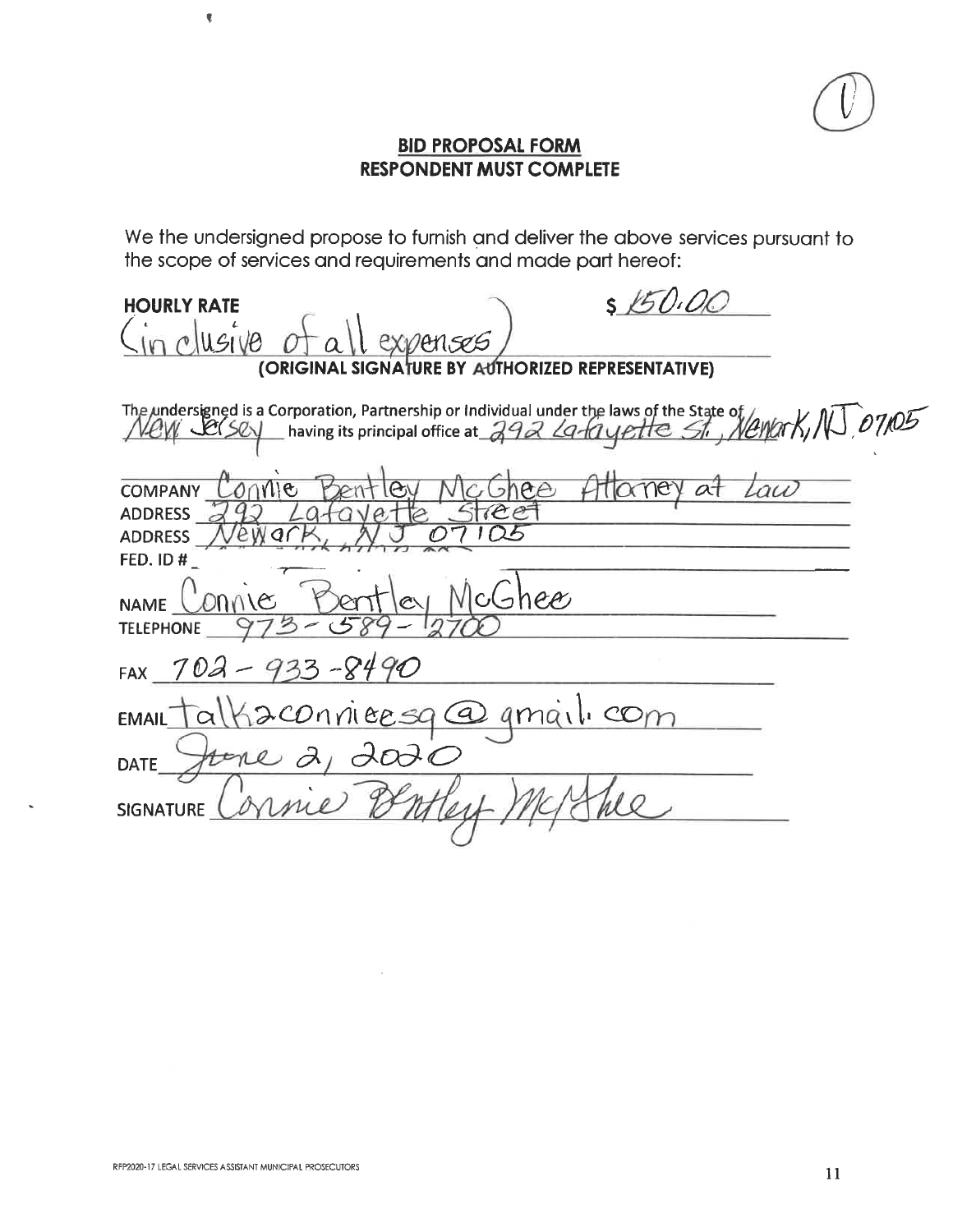

## **BID PROPOSAL FORM RESPONDENT MUST COMPLETE**

We the undersigned propose to furnish and deliver the above services pursuant to the scope of services and requirements and made part hereof:

| \$1501<br><b>HOURLY RATE</b>                                                                                         |  |  |  |
|----------------------------------------------------------------------------------------------------------------------|--|--|--|
| USIVO<br>expenses                                                                                                    |  |  |  |
| (ORIGINAL SIGNATURE BY AUTHORIZED REPRESENTATIVE)                                                                    |  |  |  |
| The undersigned is a Corporation, Partnership or Individual under the laws of the State of $\mu$ of $\pi$ , NU 07105 |  |  |  |
| au<br>ee<br><b>COMPANY</b><br>$\mathbf{e}$<br>ev<br><b>ADDRESS</b><br>$e$ e<br>ewa<br><b>ADDRESS</b><br>FED. ID#     |  |  |  |
| bhee<br>ΙC<br>NAME.<br><b>TELEPHONE</b>                                                                              |  |  |  |
| $-933 - 8490$<br>702<br><b>FAX</b>                                                                                   |  |  |  |
| 2 conviersa Ca<br>amail com<br><b>EMAIL</b>                                                                          |  |  |  |
| $\partial \omega$<br><b>DATE</b>                                                                                     |  |  |  |
| <b>SIGNATURE</b>                                                                                                     |  |  |  |
|                                                                                                                      |  |  |  |

 $\sim$ 

 $\pmb{\overline{\P}}$